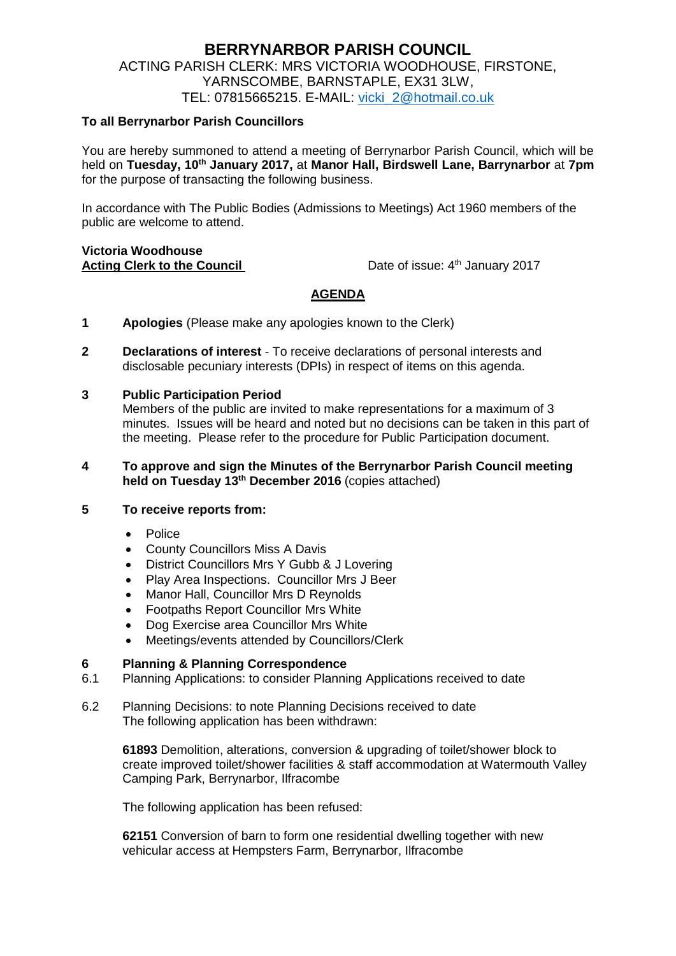# **BERRYNARBOR PARISH COUNCIL** ACTING PARISH CLERK: MRS VICTORIA WOODHOUSE, FIRSTONE, YARNSCOMBE, BARNSTAPLE, EX31 3LW, TEL: 07815665215. E-MAIL: [vicki\\_2@hotmail.co.uk](mailto:vicki_2@hotmail.co.uk)

## **To all Berrynarbor Parish Councillors**

You are hereby summoned to attend a meeting of Berrynarbor Parish Council, which will be held on **Tuesday, 10th January 2017,** at **Manor Hall, Birdswell Lane, Barrynarbor** at **7pm** for the purpose of transacting the following business.

In accordance with The Public Bodies (Admissions to Meetings) Act 1960 members of the public are welcome to attend.

#### **Victoria Woodhouse Acting Clerk to the Council**

Date of issue: 4<sup>th</sup> January 2017

## **AGENDA**

- **1 Apologies** (Please make any apologies known to the Clerk)
- **2 Declarations of interest**  To receive declarations of personal interests and disclosable pecuniary interests (DPIs) in respect of items on this agenda.

## **3 Public Participation Period**

Members of the public are invited to make representations for a maximum of 3 minutes. Issues will be heard and noted but no decisions can be taken in this part of the meeting. Please refer to the procedure for Public Participation document.

#### **4 To approve and sign the Minutes of the Berrynarbor Parish Council meeting held on Tuesday 13th December 2016** (copies attached)

#### **5 To receive reports from:**

- · Police
- County Councillors Miss A Davis
- District Councillors Mrs Y Gubb & J Lovering
- Play Area Inspections. Councillor Mrs J Beer
- Manor Hall, Councillor Mrs D Reynolds
- Footpaths Report Councillor Mrs White
- Dog Exercise area Councillor Mrs White
- Meetings/events attended by Councillors/Clerk

### **6 Planning & Planning Correspondence**

- 6.1 Planning Applications: to consider Planning Applications received to date
- 6.2 Planning Decisions: to note Planning Decisions received to date The following application has been withdrawn:

**61893** Demolition, alterations, conversion & upgrading of toilet/shower block to create improved toilet/shower facilities & staff accommodation at Watermouth Valley Camping Park, Berrynarbor, Ilfracombe

The following application has been refused:

**62151** Conversion of barn to form one residential dwelling together with new vehicular access at Hempsters Farm, Berrynarbor, Ilfracombe